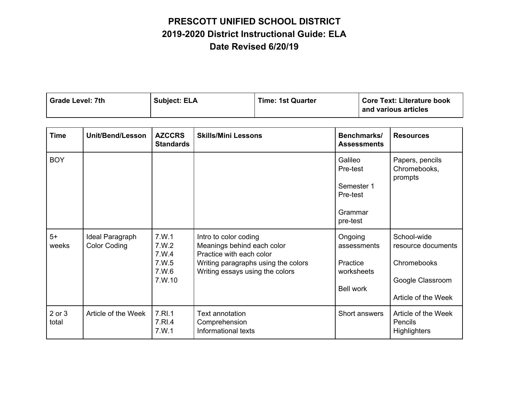|  | Grade Level: 7th | <b>Subject: ELA</b> | <b>Time: 1st Quarter</b> | <b>Core Text: Literature book</b><br>and various articles |
|--|------------------|---------------------|--------------------------|-----------------------------------------------------------|
|--|------------------|---------------------|--------------------------|-----------------------------------------------------------|

| <b>Time</b>     | <b>Unit/Bend/Lesson</b>                | <b>AZCCRS</b><br><b>Standards</b>                    | <b>Skills/Mini Lessons</b>                                                                                                                                | Benchmarks/<br><b>Assessments</b>                                    | <b>Resources</b>                                                                            |
|-----------------|----------------------------------------|------------------------------------------------------|-----------------------------------------------------------------------------------------------------------------------------------------------------------|----------------------------------------------------------------------|---------------------------------------------------------------------------------------------|
| <b>BOY</b>      |                                        |                                                      |                                                                                                                                                           | Galileo<br>Pre-test<br>Semester 1<br>Pre-test<br>Grammar<br>pre-test | Papers, pencils<br>Chromebooks,<br>prompts                                                  |
| $5+$<br>weeks   | Ideal Paragraph<br><b>Color Coding</b> | 7.W.1<br>7.W.2<br>7.W.4<br>7. W.5<br>7.W.6<br>7.W.10 | Intro to color coding<br>Meanings behind each color<br>Practice with each color<br>Writing paragraphs using the colors<br>Writing essays using the colors | Ongoing<br>assessments<br>Practice<br>worksheets<br><b>Bell work</b> | School-wide<br>resource documents<br>Chromebooks<br>Google Classroom<br>Article of the Week |
| 2 or 3<br>total | Article of the Week                    | 7.RI.1<br>7.RI.4<br>7.W.1                            | Text annotation<br>Comprehension<br>Informational texts                                                                                                   | Short answers                                                        | Article of the Week<br><b>Pencils</b><br><b>Highlighters</b>                                |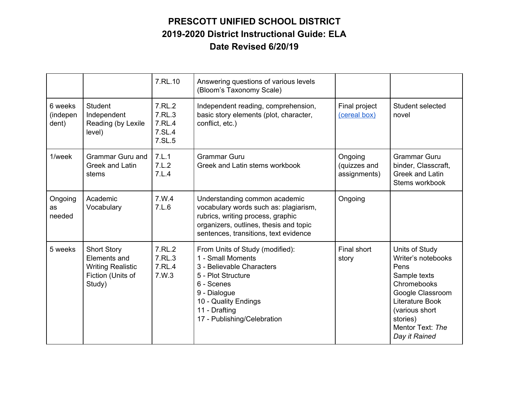|                                |                                                                                               | 7.RL.10                                        | Answering questions of various levels<br>(Bloom's Taxonomy Scale)                                                                                                                                             |                                         |                                                                                                                                                                                       |
|--------------------------------|-----------------------------------------------------------------------------------------------|------------------------------------------------|---------------------------------------------------------------------------------------------------------------------------------------------------------------------------------------------------------------|-----------------------------------------|---------------------------------------------------------------------------------------------------------------------------------------------------------------------------------------|
| 6 weeks<br>(indepen<br>dent)   | <b>Student</b><br>Independent<br>Reading (by Lexile<br>level)                                 | 7.RL.2<br>7.RL.3<br>7.RL.4<br>7.SL.4<br>7.SL.5 | Independent reading, comprehension,<br>basic story elements (plot, character,<br>conflict, etc.)                                                                                                              | Final project<br>(cereal box)           | Student selected<br>novel                                                                                                                                                             |
| 1/week                         | <b>Grammar Guru and</b><br><b>Greek and Latin</b><br>stems                                    | 7.L.1<br>7.L.2<br>7.L.4                        | <b>Grammar Guru</b><br>Greek and Latin stems workbook                                                                                                                                                         | Ongoing<br>(quizzes and<br>assignments) | <b>Grammar Guru</b><br>binder, Classcraft,<br><b>Greek and Latin</b><br>Stems workbook                                                                                                |
| Ongoing<br><b>as</b><br>needed | Academic<br>Vocabulary                                                                        | 7.W.4<br>7.L.6                                 | Understanding common academic<br>vocabulary words such as: plagiarism,<br>rubrics, writing process, graphic<br>organizers, outlines, thesis and topic<br>sentences, transitions, text evidence                | Ongoing                                 |                                                                                                                                                                                       |
| 5 weeks                        | <b>Short Story</b><br>Elements and<br><b>Writing Realistic</b><br>Fiction (Units of<br>Study) | 7.RL.2<br>7.RL.3<br>7.RL.4<br>7.W.3            | From Units of Study (modified):<br>1 - Small Moments<br>3 - Believable Characters<br>5 - Plot Structure<br>6 - Scenes<br>9 - Dialogue<br>10 - Quality Endings<br>11 - Drafting<br>17 - Publishing/Celebration | Final short<br>story                    | Units of Study<br>Writer's notebooks<br>Pens<br>Sample texts<br>Chromebooks<br>Google Classroom<br>Literature Book<br>(various short<br>stories)<br>Mentor Text: The<br>Day it Rained |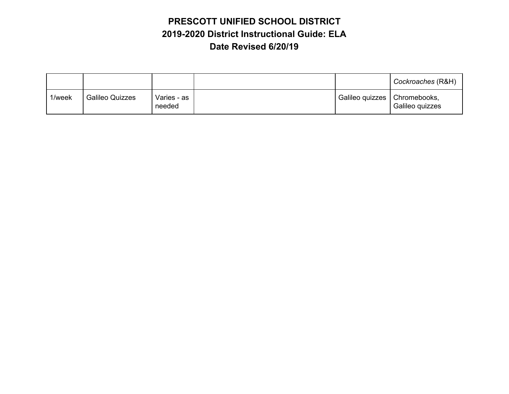|        |                        |                       |                                | Cockroaches (R&H) |
|--------|------------------------|-----------------------|--------------------------------|-------------------|
| 1/week | <b>Galileo Quizzes</b> | Varies - as<br>needed | Galileo quizzes   Chromebooks, | Galileo quizzes   |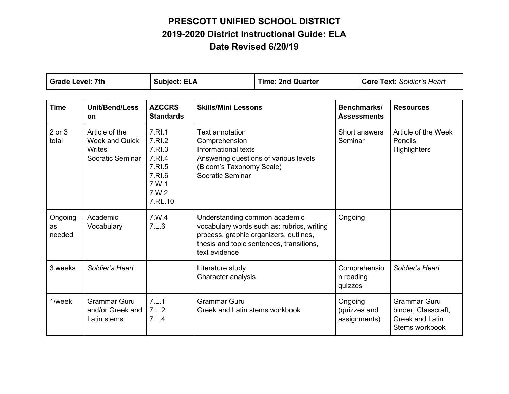| <b>Grade Level: 7th</b> |                                                                              | <b>Subject: ELA</b>                                                                   |                                                                                                                                                                                    | <b>Time: 2nd Quarter</b> |                          | <b>Core Text: Soldier's Heart</b> |                                                                                        |
|-------------------------|------------------------------------------------------------------------------|---------------------------------------------------------------------------------------|------------------------------------------------------------------------------------------------------------------------------------------------------------------------------------|--------------------------|--------------------------|-----------------------------------|----------------------------------------------------------------------------------------|
| <b>Time</b>             | <b>Unit/Bend/Less</b><br><b>on</b>                                           | <b>AZCCRS</b><br><b>Standards</b>                                                     | <b>Skills/Mini Lessons</b>                                                                                                                                                         |                          |                          | Benchmarks/<br><b>Assessments</b> | <b>Resources</b>                                                                       |
| 2 or 3<br>total         | Article of the<br><b>Week and Quick</b><br><b>Writes</b><br>Socratic Seminar | 7.RI.1<br>7.RI.2<br>7.RI.3<br>7.RI.4<br>7.RI.5<br>7.RI.6<br>7.W.1<br>7.W.2<br>7.RL.10 | <b>Text annotation</b><br>Comprehension<br>Informational texts<br>Answering questions of various levels<br>(Bloom's Taxonomy Scale)<br>Socratic Seminar                            |                          | Short answers<br>Seminar |                                   | Article of the Week<br>Pencils<br><b>Highlighters</b>                                  |
| Ongoing<br>as<br>needed | Academic<br>Vocabulary                                                       | 7.W.4<br>7.L.6                                                                        | Understanding common academic<br>vocabulary words such as: rubrics, writing<br>process, graphic organizers, outlines,<br>thesis and topic sentences, transitions,<br>text evidence |                          | Ongoing                  |                                   |                                                                                        |
| 3 weeks                 | Soldier's Heart                                                              |                                                                                       | Literature study<br>Character analysis                                                                                                                                             |                          | n reading<br>quizzes     | Comprehensio                      | Soldier's Heart                                                                        |
| 1/week                  | <b>Grammar Guru</b><br>and/or Greek and<br>Latin stems                       | 7.L.1<br>7.L.2<br>7.L.4                                                               | <b>Grammar Guru</b><br>Greek and Latin stems workbook                                                                                                                              |                          | Ongoing                  | (quizzes and<br>assignments)      | <b>Grammar Guru</b><br>binder, Classcraft,<br><b>Greek and Latin</b><br>Stems workbook |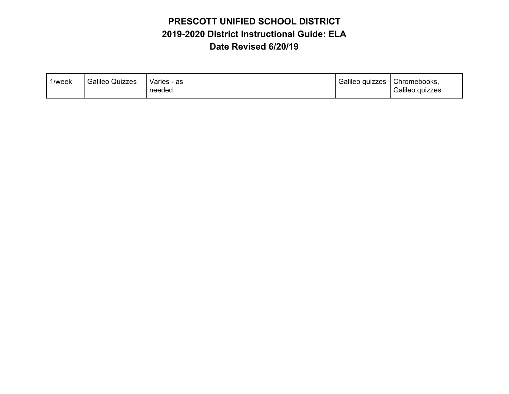| 1/week | <b>Galileo Quizzes</b><br>Varies - as<br>needed | Galileo quizzes | Chromebooks,<br>Galileo quizzes |
|--------|-------------------------------------------------|-----------------|---------------------------------|
|--------|-------------------------------------------------|-----------------|---------------------------------|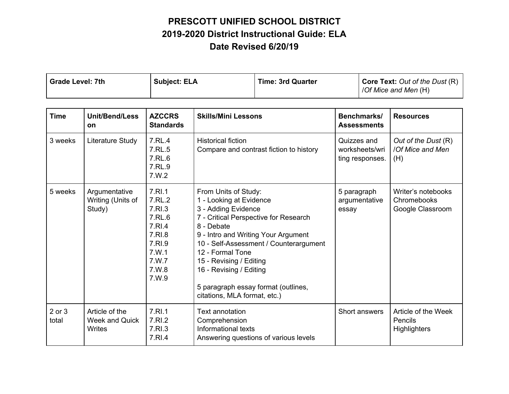| <b>Grade Level: 7th</b> | <b>Subject: ELA</b> | <b>Time: 3rd Quarter</b> | Core Text: Out of the Dust (R) |
|-------------------------|---------------------|--------------------------|--------------------------------|
|                         |                     |                          | /Of Mice and Men (H)           |

| <b>Time</b>     | <b>Unit/Bend/Less</b><br><b>on</b>           | <b>AZCCRS</b><br><b>Standards</b>                                                                      | <b>Skills/Mini Lessons</b>                                                                                                                                                                                                                                                                                                                                      | Benchmarks/<br><b>Assessments</b>                | <b>Resources</b>                                             |
|-----------------|----------------------------------------------|--------------------------------------------------------------------------------------------------------|-----------------------------------------------------------------------------------------------------------------------------------------------------------------------------------------------------------------------------------------------------------------------------------------------------------------------------------------------------------------|--------------------------------------------------|--------------------------------------------------------------|
| 3 weeks         | Literature Study                             | 7.RL.4<br>7.RL.5<br>7.RL.6<br>7.RL.9<br>7.W.2                                                          | <b>Historical fiction</b><br>Compare and contrast fiction to history                                                                                                                                                                                                                                                                                            | Quizzes and<br>worksheets/wri<br>ting responses. | Out of the Dust (R)<br>/Of Mice and Men<br>(H)               |
| 5 weeks         | Argumentative<br>Writing (Units of<br>Study) | 7.RI.1<br>7.RL.2<br>7.RI.3<br>7.RL.6<br>7.RI.4<br>7.RI.8<br>7.RI.9<br>7.W.1<br>7.W.7<br>7.W.8<br>7.W.9 | From Units of Study:<br>1 - Looking at Evidence<br>3 - Adding Evidence<br>7 - Critical Perspective for Research<br>8 - Debate<br>9 - Intro and Writing Your Argument<br>10 - Self-Assessment / Counterargument<br>12 - Formal Tone<br>15 - Revising / Editing<br>16 - Revising / Editing<br>5 paragraph essay format (outlines,<br>citations, MLA format, etc.) | 5 paragraph<br>argumentative<br>essay            | Writer's notebooks<br><b>Chromebooks</b><br>Google Classroom |
| 2 or 3<br>total | Article of the<br>Week and Quick<br>Writes   | 7.RI.1<br>7.RI.2<br>7.RI.3<br>7.RI.4                                                                   | Text annotation<br>Comprehension<br>Informational texts<br>Answering questions of various levels                                                                                                                                                                                                                                                                | Short answers                                    | Article of the Week<br>Pencils<br><b>Highlighters</b>        |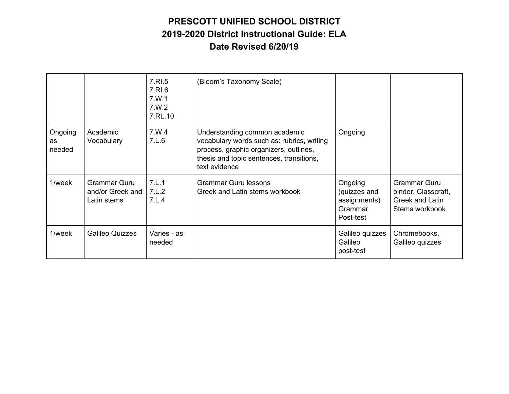|                                |                                                        | 7.RI.5<br>7.RI.6<br>7.W.1<br>7.W.2<br>7.RL.10 | (Bloom's Taxonomy Scale)                                                                                                                                                           |                                                                 |                                                                                 |
|--------------------------------|--------------------------------------------------------|-----------------------------------------------|------------------------------------------------------------------------------------------------------------------------------------------------------------------------------------|-----------------------------------------------------------------|---------------------------------------------------------------------------------|
| Ongoing<br><b>as</b><br>needed | Academic<br>Vocabulary                                 | 7.W.4<br>7.L.6                                | Understanding common academic<br>vocabulary words such as: rubrics, writing<br>process, graphic organizers, outlines,<br>thesis and topic sentences, transitions,<br>text evidence | Ongoing                                                         |                                                                                 |
| 1/week                         | <b>Grammar Guru</b><br>and/or Greek and<br>Latin stems | 7.L.1<br>7.L.2<br>7.L.4                       | <b>Grammar Guru lessons</b><br>Greek and Latin stems workbook                                                                                                                      | Ongoing<br>(quizzes and<br>assignments)<br>Grammar<br>Post-test | <b>Grammar Guru</b><br>binder, Classcraft,<br>Greek and Latin<br>Stems workbook |
| 1/week                         | <b>Galileo Quizzes</b>                                 | Varies - as<br>needed                         |                                                                                                                                                                                    | Galileo quizzes<br>Galileo<br>post-test                         | Chromebooks,<br>Galileo quizzes                                                 |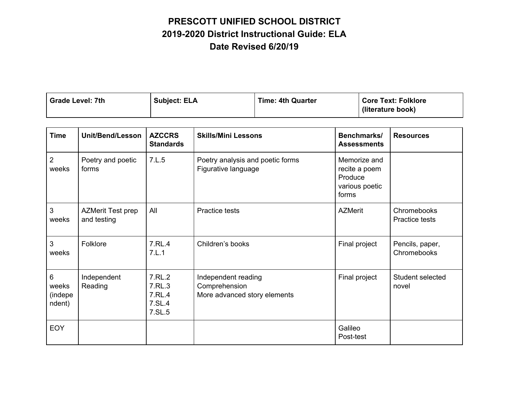| Grade Level: 7th | <b>Subject: ELA</b> | <b>Time: 4th Quarter</b> | <b>Core Text: Folklore</b><br>(literature book) |
|------------------|---------------------|--------------------------|-------------------------------------------------|
|                  |                     |                          |                                                 |

| <b>Time</b>                     | Unit/Bend/Lesson                        | <b>AZCCRS</b><br><b>Standards</b>              | <b>Skills/Mini Lessons</b>                                           | Benchmarks/<br><b>Assessments</b>                                   | <b>Resources</b>               |
|---------------------------------|-----------------------------------------|------------------------------------------------|----------------------------------------------------------------------|---------------------------------------------------------------------|--------------------------------|
| $\overline{2}$<br>weeks         | Poetry and poetic<br>forms              | 7.L.5                                          | Poetry analysis and poetic forms<br>Figurative language              | Memorize and<br>recite a poem<br>Produce<br>various poetic<br>forms |                                |
| $\mathbf{3}$<br>weeks           | <b>AZMerit Test prep</b><br>and testing | All                                            | Practice tests                                                       | <b>AZMerit</b>                                                      | Chromebooks<br>Practice tests  |
| 3<br>weeks                      | Folklore                                | 7.RL.4<br>7.L.1                                | Children's books                                                     | Final project                                                       | Pencils, paper,<br>Chromebooks |
| 6<br>weeks<br>(indepe<br>ndent) | Independent<br>Reading                  | 7.RL.2<br>7.RL.3<br>7.RL.4<br>7.SL.4<br>7.SL.5 | Independent reading<br>Comprehension<br>More advanced story elements | Final project                                                       | Student selected<br>novel      |
| <b>EOY</b>                      |                                         |                                                |                                                                      | Galileo<br>Post-test                                                |                                |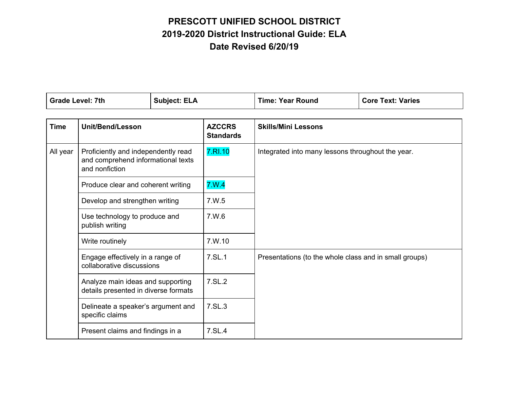| <b>Grade Level: 7th</b> |                                                                                                                                                                                                     | <b>Subject: ELA</b> |                                   | <b>Time: Year Round</b>                                | <b>Core Text: Varies</b> |
|-------------------------|-----------------------------------------------------------------------------------------------------------------------------------------------------------------------------------------------------|---------------------|-----------------------------------|--------------------------------------------------------|--------------------------|
| <b>Time</b>             | <b>Unit/Bend/Lesson</b>                                                                                                                                                                             |                     | <b>AZCCRS</b><br><b>Standards</b> | <b>Skills/Mini Lessons</b>                             |                          |
| All year                | Proficiently and independently read<br>and comprehend informational texts<br>and nonfiction                                                                                                         |                     | 7.RI.10                           | Integrated into many lessons throughout the year.      |                          |
|                         | Produce clear and coherent writing<br>Develop and strengthen writing<br>Use technology to produce and<br>publish writing                                                                            |                     | 7.W.4                             |                                                        |                          |
|                         |                                                                                                                                                                                                     |                     | 7.W.5                             |                                                        |                          |
|                         |                                                                                                                                                                                                     |                     | 7.W.6                             |                                                        |                          |
|                         | Write routinely                                                                                                                                                                                     |                     | 7.W.10                            |                                                        |                          |
|                         | Engage effectively in a range of<br>collaborative discussions<br>Analyze main ideas and supporting<br>details presented in diverse formats<br>Delineate a speaker's argument and<br>specific claims |                     | 7.SL.1                            | Presentations (to the whole class and in small groups) |                          |
|                         |                                                                                                                                                                                                     |                     | 7.SL.2                            |                                                        |                          |
|                         |                                                                                                                                                                                                     |                     | 7.SL.3                            |                                                        |                          |
|                         | Present claims and findings in a                                                                                                                                                                    |                     | 7.SL.4                            |                                                        |                          |